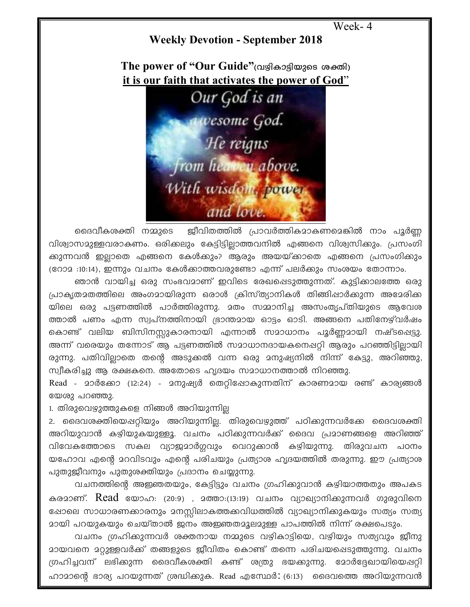```
Week-4
```
## **Weekly Devotion - September 2018**

The power of "Our Guide" (വഴികാട്ടിയുടെ ശക്തി) it is our faith that activates the power of God"



ജീവിതത്തിൽ പ്രാവർത്തികമാകണമെങ്കിൽ നാം പൂർണ്ണ ദൈവീകശക്തി നമ്മുടെ വിശ്വാസമുള്ളവരാകണം. ഒരിക്കലും കേട്ടിട്ടില്ലാത്തവനിൽ എങ്ങനെ വിശ്വസിക്കും. പ്രസംഗി ക്കുന്നവൻ ഇല്ലാതെ എങ്ങനെ കേൾക്കും? ആരും അയയ്ക്കാതെ എങ്ങനെ പ്രസംഗിക്കും (റോ $2:10:14$ ), ഇന്നും വചനം കേൾക്കാത്തവരുണ്ടോ എന്ന് പലർക്കും സംശയം തോന്നാം.

ഞാൻ വായിച്ച ഒരു സംഭവമാണ് ഇവിടെ രേഖപ്പെടുത്തുന്നത്. കുട്ടിക്കാലത്തേ ഒരു പ്രാകൃതമതത്തിലെ അംഗമായിരുന്ന ഒരാൾ ക്രിസ്ത്യാനികൾ തിങ്ങിഷാർക്കുന്ന അമേരിക്ക യിലെ ഒരു പട്ടണത്തിൽ പാർത്തിരുന്നു. മതം സമ്മാനിച്ച അസംതൃപ്തിയുടെ ആവേശ ത്താൽ പണം എന്ന സ്വപ്നത്തിനായി ഭ്രാന്തമായ ഓട്ടം ഓടി. അങ്ങനെ പതിനേഴ്വർഷം കൊണ്ട് വലിയ ബിസിനസ്സുകാരനായി എന്നാൽ സമാധാനം പൂർണ്ണമായി നഷ്ടപ്പെട്ടു. അന്ന് വരെയും തന്നോട് ആ പട്ടണത്തിൽ സമാധാനദായകനെഷറ്റി ആരും പറഞ്ഞിട്ടില്ലായി രുന്നു. പതിവില്ലാതെ തന്റെ അടുക്കൽ വന്ന ഒരു മനുഷ്യനിൽ നിന്ന് കേട്ടു, അറിഞ്ഞു, സ്വീകരിച്ചു ആ രക്ഷകനെ. അതോടെ ഹൃദയം സമാധാനത്താൽ നിറഞ്ഞു.

Read - മാർക്കോ (12:24) - മനുഷ്യർ തെറ്റിപ്പോകുന്നതിന് കാരണമായ രണ്ട് കാര്യങ്ങൾ യേശു പറഞ്ഞു.

1. തിരുവെഴുത്തുകളെ നിങ്ങൾ അറിയുന്നില്ല

2. ദൈവശക്തിയെപ്പറ്റിയും അറിയുന്നില്ല. തിരുവെഴുത്ത് പഠിക്കുന്നവർക്കേ ദൈവശക്തി അറിയുവാൻ കഴിയുകയുള്ളൂ. വചനം പഠിക്കുന്നവർക്ക് ദൈവ പ്രമാണങ്ങളെ അറിഞ്ഞ് വിവേകത്തോടെ സകല വ്യാജമാർഗ്ഗവും വെറുക്കാൻ കഴിയുന്നു. തിരുവചന പഠനം യഹോവ എന്റെ മറവിടവും എന്റെ പരിചയും പ്രത്യാശ ഹൃദയത്തിൽ തരുന്നു. ഈ പ്രത്യാശ പുതുജീവനും പുതുശക്തിയും പ്രദാനം ചെയ്യുന്നു.

വചനത്തിന്റെ അഇഞതയും, കേട്ടിട്ടും വചനം ഗ്രഹിക്കുവാൻ കഴിയാത്തതും അപകട കരമാണ്. Read യോഹ: (20:9) , മത്താ:(13:19) വചനം വ്യാഖ്യാനിക്കുന്നവർ ഗുരുവിനെ ഷോലെ സാധാരണക്കാരനും മനസ്സിലാകത്തക്കവിധത്തിൽ വ്യാഖ്യാനിക്കുകയും സത്യം സത്യ <u>മായി പറയുകയും ചെയ്താൽ ജനം അജ്ഞതമൂലമുള്ള പാപത്തിൽ നിന്ന് രക്ഷപെടും.</u>

വചനം ഗ്രഹിക്കുന്നവർ ശക്തനായ നമ്മുടെ വഴികാട്ടിയെ, വഴിയും സത്യവും ജീനു മായവനെ മറ്റുള്ളവർക്ക് തങ്ങളുടെ ജീവിതം കൊണ്ട് തന്നെ പരിചയപ്പെടുത്തുന്നു. വചനം ഗ്രഹിച്ചവന് ലഭിക്കുന്ന ദൈവീകശക്തി കണ്ട് ശത്രു ഭയക്കുന്നു. മോർദ്ദേഖായിയെപ്പറ്റി ഹാമാന്റെ ഭാര്യ പറയുന്നത് ശ്രദ്ധിക്കുക. Read എസ്ഥേർ: (6:13) ദൈവത്തെ അറിയുന്നവൻ